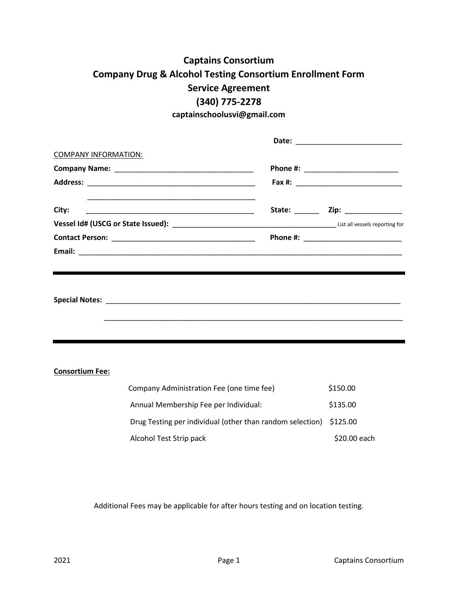# **Captains Consortium Company Drug & Alcohol Testing Consortium Enrollment Form Service Agreement (340) 775-2278**

**captainschoolusvi@gmail.com**

|        | Date: ___________________________ |
|--------|-----------------------------------|
|        |                                   |
|        |                                   |
|        |                                   |
| State: | Zip: ____________                 |
|        |                                   |
|        |                                   |
|        |                                   |
|        |                                   |
|        |                                   |
|        |                                   |

**Special Notes:** \_\_\_\_\_\_\_\_\_\_\_\_\_\_\_\_\_\_\_\_\_\_\_\_\_\_\_\_\_\_\_\_\_\_\_\_\_\_\_\_\_\_\_\_\_\_\_\_\_\_\_\_\_\_\_\_\_\_\_\_\_\_\_\_\_\_\_\_\_\_\_\_

\_\_\_\_\_\_\_\_\_\_\_\_\_\_\_\_\_\_\_\_\_\_\_\_\_\_\_\_\_\_\_\_\_\_\_\_\_\_\_\_\_\_\_\_\_\_\_\_\_\_\_\_\_\_\_\_\_\_\_\_\_\_\_\_\_\_\_\_\_\_\_\_\_

**Consortium Fee:**

| Company Administration Fee (one time fee)                          | \$150.00     |
|--------------------------------------------------------------------|--------------|
| Annual Membership Fee per Individual:                              | \$135.00     |
| Drug Testing per individual (other than random selection) \$125.00 |              |
| Alcohol Test Strip pack                                            | \$20.00 each |

Additional Fees may be applicable for after hours testing and on location testing.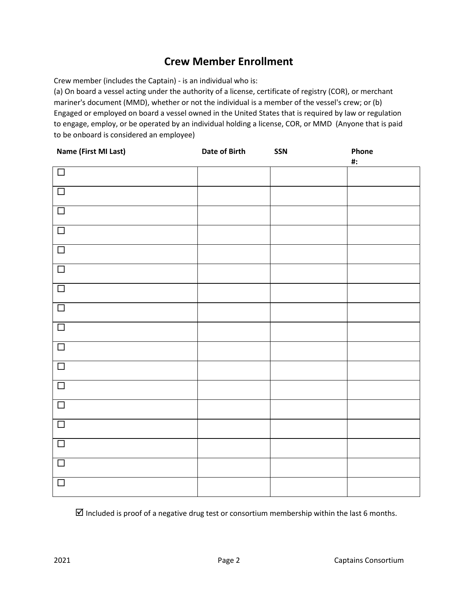# **Crew Member Enrollment**

Crew member (includes the Captain) - is an individual who is:

(a) On board a vessel acting under the authority of a license, certificate of registry (COR), or merchant mariner's document (MMD), whether or not the individual is a member of the vessel's crew; or (b) Engaged or employed on board a vessel owned in the United States that is required by law or regulation to engage, employ, or be operated by an individual holding a license, COR, or MMD (Anyone that is paid to be onboard is considered an employee)

| Name (First MI Last) | Date of Birth | SSN | Phone  |
|----------------------|---------------|-----|--------|
|                      |               |     | $\#$ : |
| $\Box$               |               |     |        |
|                      |               |     |        |
| $\Box$               |               |     |        |
|                      |               |     |        |
| $\Box$               |               |     |        |
|                      |               |     |        |
| $\Box$               |               |     |        |
|                      |               |     |        |
| $\Box$               |               |     |        |
|                      |               |     |        |
| $\Box$               |               |     |        |
|                      |               |     |        |
| $\Box$               |               |     |        |
|                      |               |     |        |
| $\Box$               |               |     |        |
|                      |               |     |        |
| $\Box$               |               |     |        |
|                      |               |     |        |
| $\Box$               |               |     |        |
|                      |               |     |        |
| $\Box$               |               |     |        |
|                      |               |     |        |
| $\Box$               |               |     |        |
|                      |               |     |        |
| $\Box$               |               |     |        |
|                      |               |     |        |
| $\Box$               |               |     |        |
|                      |               |     |        |
| $\Box$               |               |     |        |
|                      |               |     |        |
| $\Box$               |               |     |        |
|                      |               |     |        |
| $\Box$               |               |     |        |
|                      |               |     |        |

 $\boxtimes$  Included is proof of a negative drug test or consortium membership within the last 6 months.